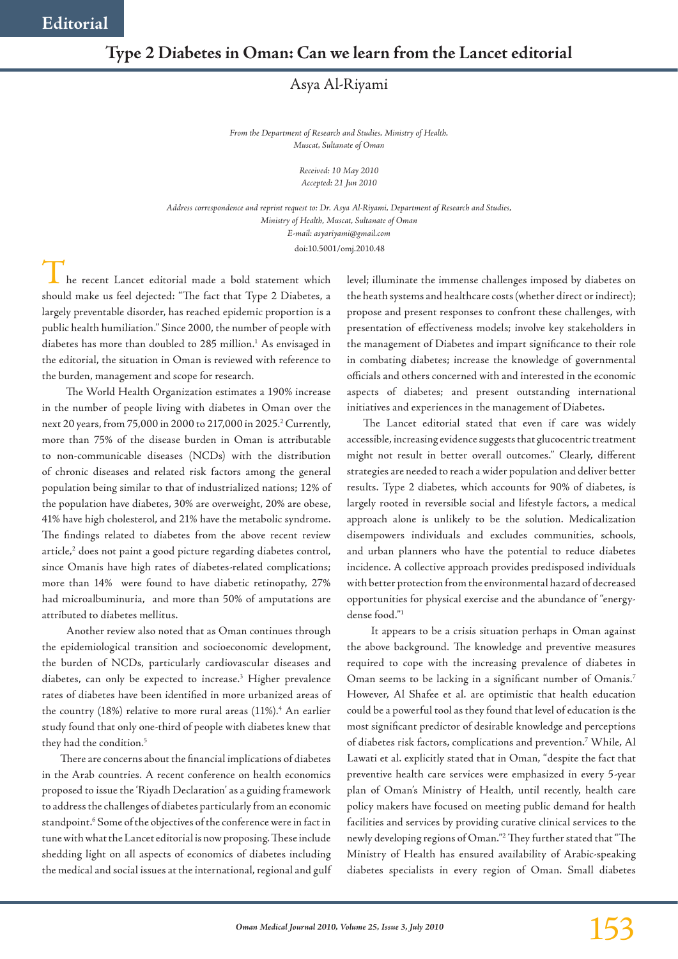## Asya Al-Riyami

*From the Department of Research and Studies, Ministry of Health, Muscat, Sultanate of Oman*

> *Received: 10 May 2010 Accepted: 21 Jun 2010*

*Address correspondence and reprint request to: Dr. Asya Al-Riyami, Department of Research and Studies, Ministry of Health, Muscat, Sultanate of Oman E-mail: asyariyami@gmail.com* doi:10.5001/omj.2010.48

he recent Lancet editorial made a bold statement which should make us feel dejected: "The fact that Type 2 Diabetes, a largely preventable disorder, has reached epidemic proportion is a public health humiliation." Since 2000, the number of people with diabetes has more than doubled to 285 million.<sup>1</sup> As envisaged in the editorial, the situation in Oman is reviewed with reference to the burden, management and scope for research.

 The World Health Organization estimates a 190% increase in the number of people living with diabetes in Oman over the next 20 years, from 75,000 in 2000 to 217,000 in 2025.<sup>2</sup> Currently, more than 75% of the disease burden in Oman is attributable to non-communicable diseases (NCDs) with the distribution of chronic diseases and related risk factors among the general population being similar to that of industrialized nations; 12% of the population have diabetes, 30% are overweight, 20% are obese, 41% have high cholesterol, and 21% have the metabolic syndrome. The findings related to diabetes from the above recent review article,<sup>2</sup> does not paint a good picture regarding diabetes control, since Omanis have high rates of diabetes-related complications; more than 14% were found to have diabetic retinopathy, 27% had microalbuminuria, and more than 50% of amputations are attributed to diabetes mellitus.

 Another review also noted that as Oman continues through the epidemiological transition and socioeconomic development, the burden of NCDs, particularly cardiovascular diseases and diabetes, can only be expected to increase.3 Higher prevalence rates of diabetes have been identified in more urbanized areas of the country (18%) relative to more rural areas (11%).<sup>4</sup> An earlier study found that only one-third of people with diabetes knew that they had the condition.<sup>5</sup>

 There are concerns about the financial implications of diabetes in the Arab countries. A recent conference on health economics proposed to issue the 'Riyadh Declaration' as a guiding framework to address the challenges of diabetes particularly from an economic standpoint.<sup>6</sup> Some of the objectives of the conference were in fact in tune with what the Lancet editorial is now proposing. These include shedding light on all aspects of economics of diabetes including the medical and social issues at the international, regional and gulf level; illuminate the immense challenges imposed by diabetes on the heath systems and healthcare costs (whether direct or indirect); propose and present responses to confront these challenges, with presentation of effectiveness models; involve key stakeholders in the management of Diabetes and impart significance to their role in combating diabetes; increase the knowledge of governmental officials and others concerned with and interested in the economic aspects of diabetes; and present outstanding international initiatives and experiences in the management of Diabetes.

The Lancet editorial stated that even if care was widely accessible, increasing evidence suggests that glucocentric treatment might not result in better overall outcomes." Clearly, different strategies are needed to reach a wider population and deliver better results. Type 2 diabetes, which accounts for 90% of diabetes, is largely rooted in reversible social and lifestyle factors, a medical approach alone is unlikely to be the solution. Medicalization disempowers individuals and excludes communities, schools, and urban planners who have the potential to reduce diabetes incidence. A collective approach provides predisposed individuals with better protection from the environmental hazard of decreased opportunities for physical exercise and the abundance of "energydense food."1

 It appears to be a crisis situation perhaps in Oman against the above background. The knowledge and preventive measures required to cope with the increasing prevalence of diabetes in Oman seems to be lacking in a significant number of Omanis.<sup>7</sup> However, Al Shafee et al. are optimistic that health education could be a powerful tool as they found that level of education is the most significant predictor of desirable knowledge and perceptions of diabetes risk factors, complications and prevention.7 While, Al Lawati et al. explicitly stated that in Oman, "despite the fact that preventive health care services were emphasized in every 5-year plan of Oman's Ministry of Health, until recently, health care policy makers have focused on meeting public demand for health facilities and services by providing curative clinical services to the newly developing regions of Oman."2 They further stated that "The Ministry of Health has ensured availability of Arabic-speaking diabetes specialists in every region of Oman. Small diabetes